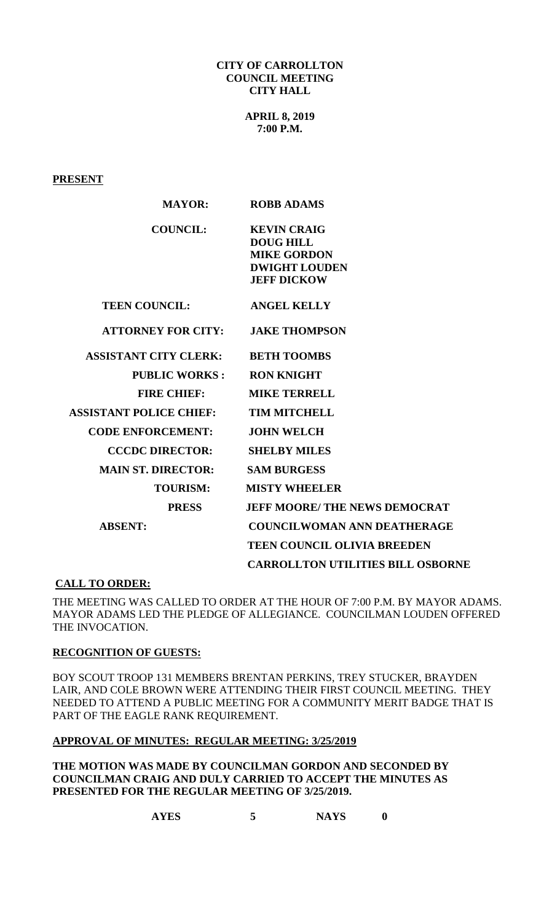### **CITY OF CARROLLTON COUNCIL MEETING CITY HALL**

**APRIL 8, 2019 7:00 P.M.**

## **PRESENT**

| <b>MAYOR:</b>                  | <b>ROBB ADAMS</b>                                                                                          |
|--------------------------------|------------------------------------------------------------------------------------------------------------|
| <b>COUNCIL:</b>                | <b>KEVIN CRAIG</b><br><b>DOUG HILL</b><br><b>MIKE GORDON</b><br><b>DWIGHT LOUDEN</b><br><b>JEFF DICKOW</b> |
| <b>TEEN COUNCIL:</b>           | <b>ANGEL KELLY</b>                                                                                         |
| <b>ATTORNEY FOR CITY:</b>      | <b>JAKE THOMPSON</b>                                                                                       |
| <b>ASSISTANT CITY CLERK:</b>   | <b>BETH TOOMBS</b>                                                                                         |
| <b>PUBLIC WORKS:</b>           | <b>RON KNIGHT</b>                                                                                          |
| <b>FIRE CHIEF:</b>             | <b>MIKE TERRELL</b>                                                                                        |
| <b>ASSISTANT POLICE CHIEF:</b> | <b>TIM MITCHELL</b>                                                                                        |
| <b>CODE ENFORCEMENT:</b>       | <b>JOHN WELCH</b>                                                                                          |
| <b>CCCDC DIRECTOR:</b>         | <b>SHELBY MILES</b>                                                                                        |
| <b>MAIN ST. DIRECTOR:</b>      | <b>SAM BURGESS</b>                                                                                         |
| <b>TOURISM:</b>                | <b>MISTY WHEELER</b>                                                                                       |
| <b>PRESS</b>                   | <b>JEFF MOORE/ THE NEWS DEMOCRAT</b>                                                                       |
| <b>ABSENT:</b>                 | <b>COUNCILWOMAN ANN DEATHERAGE</b>                                                                         |
|                                | <b>TEEN COUNCIL OLIVIA BREEDEN</b>                                                                         |
|                                | <b>CARROLLTON UTILITIES BILL OSBORNE</b>                                                                   |

# **CALL TO ORDER:**

THE MEETING WAS CALLED TO ORDER AT THE HOUR OF 7:00 P.M. BY MAYOR ADAMS. MAYOR ADAMS LED THE PLEDGE OF ALLEGIANCE. COUNCILMAN LOUDEN OFFERED THE INVOCATION.

#### **RECOGNITION OF GUESTS:**

BOY SCOUT TROOP 131 MEMBERS BRENTAN PERKINS, TREY STUCKER, BRAYDEN LAIR, AND COLE BROWN WERE ATTENDING THEIR FIRST COUNCIL MEETING. THEY NEEDED TO ATTEND A PUBLIC MEETING FOR A COMMUNITY MERIT BADGE THAT IS PART OF THE EAGLE RANK REQUIREMENT.

#### **APPROVAL OF MINUTES: REGULAR MEETING: 3/25/2019**

**THE MOTION WAS MADE BY COUNCILMAN GORDON AND SECONDED BY COUNCILMAN CRAIG AND DULY CARRIED TO ACCEPT THE MINUTES AS PRESENTED FOR THE REGULAR MEETING OF 3/25/2019.**

**AYES 5 NAYS 0**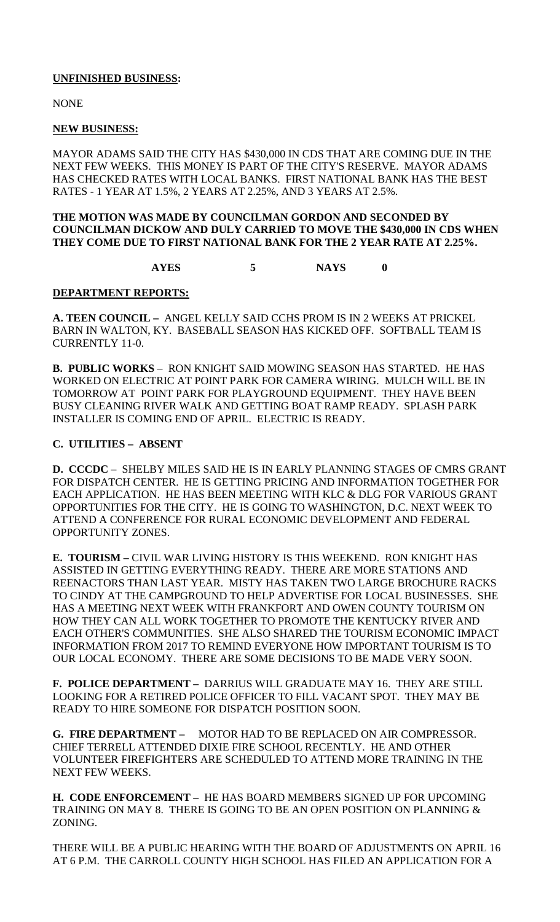## **UNFINISHED BUSINESS:**

NONE

### **NEW BUSINESS:**

MAYOR ADAMS SAID THE CITY HAS \$430,000 IN CDS THAT ARE COMING DUE IN THE NEXT FEW WEEKS. THIS MONEY IS PART OF THE CITY'S RESERVE. MAYOR ADAMS HAS CHECKED RATES WITH LOCAL BANKS. FIRST NATIONAL BANK HAS THE BEST RATES - 1 YEAR AT 1.5%, 2 YEARS AT 2.25%, AND 3 YEARS AT 2.5%.

### **THE MOTION WAS MADE BY COUNCILMAN GORDON AND SECONDED BY COUNCILMAN DICKOW AND DULY CARRIED TO MOVE THE \$430,000 IN CDS WHEN THEY COME DUE TO FIRST NATIONAL BANK FOR THE 2 YEAR RATE AT 2.25%.**

**AYES 5 NAYS 0**

### **DEPARTMENT REPORTS:**

**A. TEEN COUNCIL –** ANGEL KELLY SAID CCHS PROM IS IN 2 WEEKS AT PRICKEL BARN IN WALTON, KY. BASEBALL SEASON HAS KICKED OFF. SOFTBALL TEAM IS CURRENTLY 11-0.

**B. PUBLIC WORKS** – RON KNIGHT SAID MOWING SEASON HAS STARTED. HE HAS WORKED ON ELECTRIC AT POINT PARK FOR CAMERA WIRING. MULCH WILL BE IN TOMORROW AT POINT PARK FOR PLAYGROUND EQUIPMENT. THEY HAVE BEEN BUSY CLEANING RIVER WALK AND GETTING BOAT RAMP READY. SPLASH PARK INSTALLER IS COMING END OF APRIL. ELECTRIC IS READY.

### **C. UTILITIES – ABSENT**

**D. CCCDC** – SHELBY MILES SAID HE IS IN EARLY PLANNING STAGES OF CMRS GRANT FOR DISPATCH CENTER. HE IS GETTING PRICING AND INFORMATION TOGETHER FOR EACH APPLICATION. HE HAS BEEN MEETING WITH KLC & DLG FOR VARIOUS GRANT OPPORTUNITIES FOR THE CITY. HE IS GOING TO WASHINGTON, D.C. NEXT WEEK TO ATTEND A CONFERENCE FOR RURAL ECONOMIC DEVELOPMENT AND FEDERAL OPPORTUNITY ZONES.

**E. TOURISM –** CIVIL WAR LIVING HISTORY IS THIS WEEKEND. RON KNIGHT HAS ASSISTED IN GETTING EVERYTHING READY. THERE ARE MORE STATIONS AND REENACTORS THAN LAST YEAR. MISTY HAS TAKEN TWO LARGE BROCHURE RACKS TO CINDY AT THE CAMPGROUND TO HELP ADVERTISE FOR LOCAL BUSINESSES. SHE HAS A MEETING NEXT WEEK WITH FRANKFORT AND OWEN COUNTY TOURISM ON HOW THEY CAN ALL WORK TOGETHER TO PROMOTE THE KENTUCKY RIVER AND EACH OTHER'S COMMUNITIES. SHE ALSO SHARED THE TOURISM ECONOMIC IMPACT INFORMATION FROM 2017 TO REMIND EVERYONE HOW IMPORTANT TOURISM IS TO OUR LOCAL ECONOMY. THERE ARE SOME DECISIONS TO BE MADE VERY SOON.

**F. POLICE DEPARTMENT –** DARRIUS WILL GRADUATE MAY 16. THEY ARE STILL LOOKING FOR A RETIRED POLICE OFFICER TO FILL VACANT SPOT. THEY MAY BE READY TO HIRE SOMEONE FOR DISPATCH POSITION SOON.

**G. FIRE DEPARTMENT –** MOTOR HAD TO BE REPLACED ON AIR COMPRESSOR. CHIEF TERRELL ATTENDED DIXIE FIRE SCHOOL RECENTLY. HE AND OTHER VOLUNTEER FIREFIGHTERS ARE SCHEDULED TO ATTEND MORE TRAINING IN THE NEXT FEW WEEKS.

**H. CODE ENFORCEMENT –** HE HAS BOARD MEMBERS SIGNED UP FOR UPCOMING TRAINING ON MAY 8. THERE IS GOING TO BE AN OPEN POSITION ON PLANNING & ZONING.

THERE WILL BE A PUBLIC HEARING WITH THE BOARD OF ADJUSTMENTS ON APRIL 16 AT 6 P.M. THE CARROLL COUNTY HIGH SCHOOL HAS FILED AN APPLICATION FOR A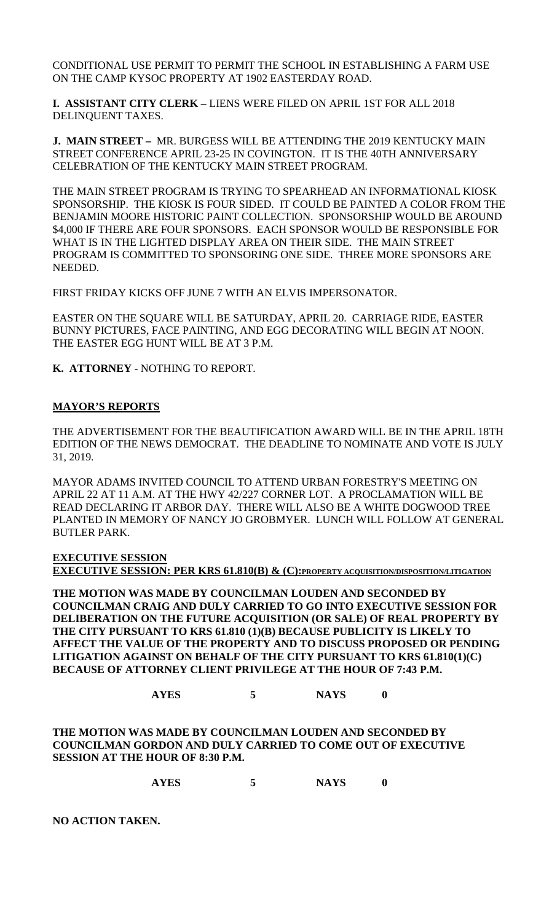CONDITIONAL USE PERMIT TO PERMIT THE SCHOOL IN ESTABLISHING A FARM USE ON THE CAMP KYSOC PROPERTY AT 1902 EASTERDAY ROAD.

**I. ASSISTANT CITY CLERK –** LIENS WERE FILED ON APRIL 1ST FOR ALL 2018 DELINQUENT TAXES.

**J. MAIN STREET –** MR. BURGESS WILL BE ATTENDING THE 2019 KENTUCKY MAIN STREET CONFERENCE APRIL 23-25 IN COVINGTON. IT IS THE 40TH ANNIVERSARY CELEBRATION OF THE KENTUCKY MAIN STREET PROGRAM.

THE MAIN STREET PROGRAM IS TRYING TO SPEARHEAD AN INFORMATIONAL KIOSK SPONSORSHIP. THE KIOSK IS FOUR SIDED. IT COULD BE PAINTED A COLOR FROM THE BENJAMIN MOORE HISTORIC PAINT COLLECTION. SPONSORSHIP WOULD BE AROUND \$4,000 IF THERE ARE FOUR SPONSORS. EACH SPONSOR WOULD BE RESPONSIBLE FOR WHAT IS IN THE LIGHTED DISPLAY AREA ON THEIR SIDE. THE MAIN STREET PROGRAM IS COMMITTED TO SPONSORING ONE SIDE. THREE MORE SPONSORS ARE NEEDED.

FIRST FRIDAY KICKS OFF JUNE 7 WITH AN ELVIS IMPERSONATOR.

EASTER ON THE SQUARE WILL BE SATURDAY, APRIL 20. CARRIAGE RIDE, EASTER BUNNY PICTURES, FACE PAINTING, AND EGG DECORATING WILL BEGIN AT NOON. THE EASTER EGG HUNT WILL BE AT 3 P.M.

**K. ATTORNEY -** NOTHING TO REPORT.

### **MAYOR'S REPORTS**

THE ADVERTISEMENT FOR THE BEAUTIFICATION AWARD WILL BE IN THE APRIL 18TH EDITION OF THE NEWS DEMOCRAT. THE DEADLINE TO NOMINATE AND VOTE IS JULY 31, 2019.

MAYOR ADAMS INVITED COUNCIL TO ATTEND URBAN FORESTRY'S MEETING ON APRIL 22 AT 11 A.M. AT THE HWY 42/227 CORNER LOT. A PROCLAMATION WILL BE READ DECLARING IT ARBOR DAY. THERE WILL ALSO BE A WHITE DOGWOOD TREE PLANTED IN MEMORY OF NANCY JO GROBMYER. LUNCH WILL FOLLOW AT GENERAL BUTLER PARK.

**EXECUTIVE SESSION EXECUTIVE SESSION: PER KRS 61.810(B) & (C):PROPERTY ACQUISITION/DISPOSITION/LITIGATION**

**THE MOTION WAS MADE BY COUNCILMAN LOUDEN AND SECONDED BY COUNCILMAN CRAIG AND DULY CARRIED TO GO INTO EXECUTIVE SESSION FOR DELIBERATION ON THE FUTURE ACQUISITION (OR SALE) OF REAL PROPERTY BY THE CITY PURSUANT TO KRS 61.810 (1)(B) BECAUSE PUBLICITY IS LIKELY TO AFFECT THE VALUE OF THE PROPERTY AND TO DISCUSS PROPOSED OR PENDING LITIGATION AGAINST ON BEHALF OF THE CITY PURSUANT TO KRS 61.810(1)(C) BECAUSE OF ATTORNEY CLIENT PRIVILEGE AT THE HOUR OF 7:43 P.M.**

# **AYES 5 NAYS 0**

**THE MOTION WAS MADE BY COUNCILMAN LOUDEN AND SECONDED BY COUNCILMAN GORDON AND DULY CARRIED TO COME OUT OF EXECUTIVE SESSION AT THE HOUR OF 8:30 P.M.**

**AYES 5 NAYS 0**

**NO ACTION TAKEN.**